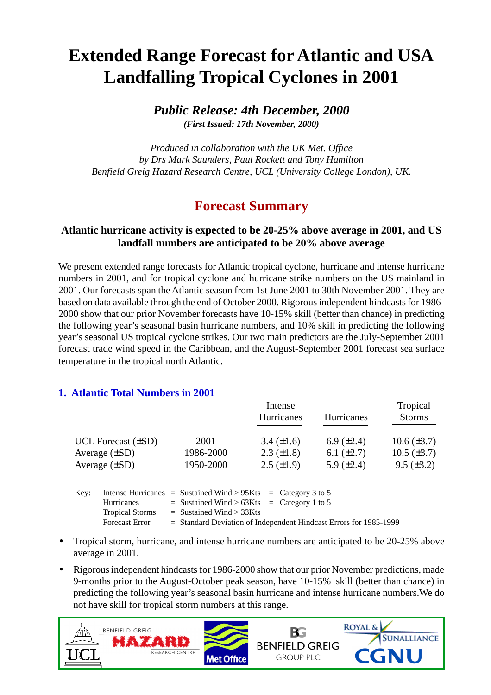# **Extended Range Forecast for Atlantic and USA Landfalling Tropical Cyclones in 2001**

*Public Release: 4th December, 2000 (First Issued: 17th November, 2000)*

*Produced in collaboration with the UK Met. Office by Drs Mark Saunders, Paul Rockett and Tony Hamilton Benfield Greig Hazard Research Centre, UCL (University College London), UK.*

# **Forecast Summary**

### **Atlantic hurricane activity is expected to be 20-25% above average in 2001, and US landfall numbers are anticipated to be 20% above average**

We present extended range forecasts for Atlantic tropical cyclone, hurricane and intense hurricane numbers in 2001, and for tropical cyclone and hurricane strike numbers on the US mainland in 2001. Our forecasts span the Atlantic season from 1st June 2001 to 30th November 2001. They are based on data available through the end of October 2000. Rigorous independent hindcasts for 1986- 2000 show that our prior November forecasts have 10-15% skill (better than chance) in predicting the following year's seasonal basin hurricane numbers, and 10% skill in predicting the following year's seasonal US tropical cyclone strikes. Our two main predictors are the July-September 2001 forecast trade wind speed in the Caribbean, and the August-September 2001 forecast sea surface temperature in the tropical north Atlantic.

#### **1. Atlantic Total Numbers in 2001**

|                         |           | Intense           | Tropical        |                   |
|-------------------------|-----------|-------------------|-----------------|-------------------|
|                         |           | Hurricanes        | Hurricanes      | <b>Storms</b>     |
| UCL Forecast $(\pm SD)$ | 2001      | $3.4 (\pm 1.6)$   | 6.9 $(\pm 2.4)$ | $10.6 (\pm 3.7)$  |
| Average $(\pm SD)$      | 1986-2000 | $2.3 \ (\pm 1.8)$ | 6.1 $(\pm 2.7)$ | $10.5 (\pm 3.7)$  |
| Average $(\pm SD)$      | 1950-2000 | $2.5 \ (\pm 1.9)$ | 5.9 $(\pm 2.4)$ | $9.5 \ (\pm 3.2)$ |

| Hurricanes             |  |                              |                                                                                                                    |
|------------------------|--|------------------------------|--------------------------------------------------------------------------------------------------------------------|
| <b>Tropical Storms</b> |  |                              |                                                                                                                    |
| <b>Forecast Error</b>  |  |                              | $=$ Standard Deviation of Independent Hindcast Errors for 1985-1999                                                |
|                        |  | $=$ Sustained Wind $>$ 33Kts | Intense Hurricanes = Sustained Wind > $95K$ ts = Category 3 to 5<br>$=$ Sustained Wind > 63Kts $=$ Category 1 to 5 |

- Tropical storm, hurricane, and intense hurricane numbers are anticipated to be 20-25% above average in 2001.
- Rigorous independent hindcasts for 1986-2000 show that our prior November predictions, made 9-months prior to the August-October peak season, have 10-15% skill (better than chance) in predicting the following year's seasonal basin hurricane and intense hurricane numbers.We do not have skill for tropical storm numbers at this range.

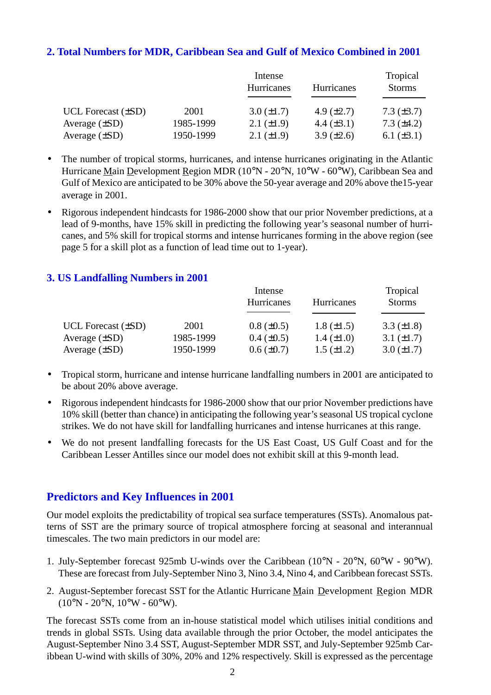### **2. Total Numbers for MDR, Caribbean Sea and Gulf of Mexico Combined in 2001**

|                         |           | Intense         | Tropical          |                   |
|-------------------------|-----------|-----------------|-------------------|-------------------|
|                         |           | Hurricanes      | <b>Hurricanes</b> | <b>Storms</b>     |
| UCL Forecast $(\pm SD)$ | 2001      | $3.0 (\pm 1.7)$ | 4.9 $(\pm 2.7)$   | $7.3 (\pm 3.7)$   |
| Average $(\pm SD)$      | 1985-1999 | 2.1 $(\pm 1.9)$ | 4.4 $(\pm 3.1)$   | $7.3 \ (\pm 4.2)$ |
| Average $(\pm SD)$      | 1950-1999 | $2.1 (\pm 1.9)$ | $3.9 \ (\pm 2.6)$ | 6.1 $(\pm 3.1)$   |

- The number of tropical storms, hurricanes, and intense hurricanes originating in the Atlantic Hurricane Main Development Region MDR (10°N - 20°N, 10°W - 60°W), Caribbean Sea and Gulf of Mexico are anticipated to be 30% above the 50-year average and 20% above the15-year average in 2001.
- Rigorous independent hindcasts for 1986-2000 show that our prior November predictions, at a lead of 9-months, have 15% skill in predicting the following year's seasonal number of hurricanes, and 5% skill for tropical storms and intense hurricanes forming in the above region (see page 5 for a skill plot as a function of lead time out to 1-year).

#### **3. US Landfalling Numbers in 2001**

|                         |           | Intense           |                   |                 |
|-------------------------|-----------|-------------------|-------------------|-----------------|
|                         |           | Hurricanes        | Hurricanes        | <b>Storms</b>   |
| UCL Forecast $(\pm SD)$ | 2001      | $0.8 (\pm 0.5)$   | $1.8 (\pm 1.5)$   | 3.3 $(\pm 1.8)$ |
| Average $(\pm SD)$      | 1985-1999 | $0.4 \ (\pm 0.5)$ | $1.4 \ (\pm 1.0)$ | $3.1 (\pm 1.7)$ |
| Average $(\pm SD)$      | 1950-1999 | $0.6 (\pm 0.7)$   | $1.5 \ (\pm 1.2)$ | $3.0 (\pm 1.7)$ |

- Tropical storm, hurricane and intense hurricane landfalling numbers in 2001 are anticipated to be about 20% above average.
- Rigorous independent hindcasts for 1986-2000 show that our prior November predictions have 10% skill (better than chance) in anticipating the following year's seasonal US tropical cyclone strikes. We do not have skill for landfalling hurricanes and intense hurricanes at this range.
- We do not present landfalling forecasts for the US East Coast, US Gulf Coast and for the Caribbean Lesser Antilles since our model does not exhibit skill at this 9-month lead.

#### **Predictors and Key Influences in 2001**

Our model exploits the predictability of tropical sea surface temperatures (SSTs). Anomalous patterns of SST are the primary source of tropical atmosphere forcing at seasonal and interannual timescales. The two main predictors in our model are:

- 1. July-September forecast 925mb U-winds over the Caribbean (10°N 20°N, 60°W 90°W). These are forecast from July-September Nino 3, Nino 3.4, Nino 4, and Caribbean forecast SSTs.
- 2. August-September forecast SST for the Atlantic Hurricane Main Development Region MDR  $(10^{\circ}N - 20^{\circ}N, 10^{\circ}W - 60^{\circ}W)$ .

The forecast SSTs come from an in-house statistical model which utilises initial conditions and trends in global SSTs. Using data available through the prior October, the model anticipates the August-September Nino 3.4 SST, August-September MDR SST, and July-September 925mb Caribbean U-wind with skills of 30%, 20% and 12% respectively. Skill is expressed as the percentage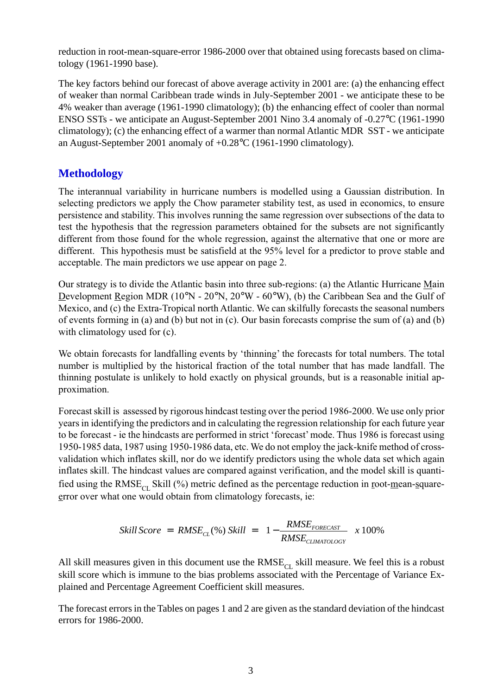reduction in root-mean-square-error 1986-2000 over that obtained using forecasts based on climatology (1961-1990 base).

The key factors behind our forecast of above average activity in 2001 are: (a) the enhancing effect of weaker than normal Caribbean trade winds in July-September 2001 - we anticipate these to be 4% weaker than average (1961-1990 climatology); (b) the enhancing effect of cooler than normal ENSO SSTs - we anticipate an August-September 2001 Nino 3.4 anomaly of -0.27°C (1961-1990 climatology); (c) the enhancing effect of a warmer than normal Atlantic MDR SST - we anticipate an August-September 2001 anomaly of +0.28°C (1961-1990 climatology).

## **Methodology**

The interannual variability in hurricane numbers is modelled using a Gaussian distribution. In selecting predictors we apply the Chow parameter stability test, as used in economics, to ensure persistence and stability. This involves running the same regression over subsections of the data to test the hypothesis that the regression parameters obtained for the subsets are not significantly different from those found for the whole regression, against the alternative that one or more are different. This hypothesis must be satisfield at the 95% level for a predictor to prove stable and acceptable. The main predictors we use appear on page 2.

Our strategy is to divide the Atlantic basin into three sub-regions: (a) the Atlantic Hurricane Main Development Region MDR (10°N - 20°N, 20°W - 60°W), (b) the Caribbean Sea and the Gulf of Mexico, and (c) the Extra-Tropical north Atlantic. We can skilfully forecasts the seasonal numbers of events forming in (a) and (b) but not in (c). Our basin forecasts comprise the sum of (a) and (b) with climatology used for  $(c)$ .

We obtain forecasts for landfalling events by 'thinning' the forecasts for total numbers. The total number is multiplied by the historical fraction of the total number that has made landfall. The thinning postulate is unlikely to hold exactly on physical grounds, but is a reasonable initial approximation.

Forecast skill is assessed by rigorous hindcast testing over the period 1986-2000. We use only prior years in identifying the predictors and in calculating the regression relationship for each future year to be forecast - ie the hindcasts are performed in strict 'forecast' mode. Thus 1986 is forecast using 1950-1985 data, 1987 using 1950-1986 data, etc. We do not employ the jack-knife method of crossvalidation which inflates skill, nor do we identify predictors using the whole data set which again inflates skill. The hindcast values are compared against verification, and the model skill is quantified using the RMSE<sub>CL</sub> Skill (%) metric defined as the percentage reduction in root-mean-squareerror over what one would obtain from climatology forecasts, ie:

$$
Still Score = RMSE_{CL}(\%) Skill = \left(1 - \frac{RMSE_{FORECAST}}{RMSE_{CLIMATOLOGY}}\right) x 100\%
$$

All skill measures given in this document use the  $RMSE_{CI}$  skill measure. We feel this is a robust skill score which is immune to the bias problems associated with the Percentage of Variance Explained and Percentage Agreement Coefficient skill measures.

The forecast errors in the Tables on pages 1 and 2 are given as the standard deviation of the hindcast errors for 1986-2000.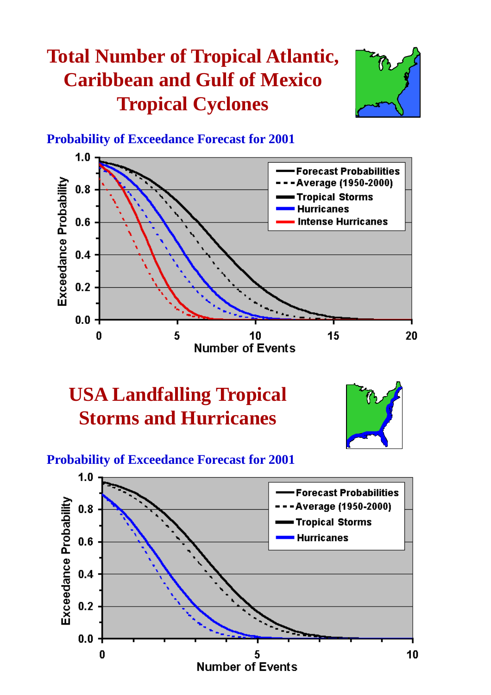# **Total Number of Tropical Atlantic, Caribbean and Gulf of Mexico Tropical Cyclones**



## **Probability of Exceedance Forecast for 2001**



# **USA Landfalling Tropical Storms and Hurricanes**



# **Probability of Exceedance Forecast for 2001**

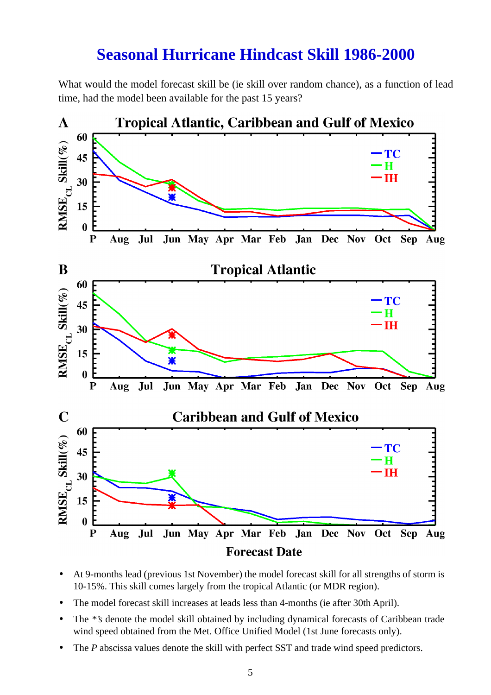# **Seasonal Hurricane Hindcast Skill 1986-2000**

What would the model forecast skill be (ie skill over random chance), as a function of lead time, had the model been available for the past 15 years?



- At 9-months lead (previous 1st November) the model forecast skill for all strengths of storm is 10-15%. This skill comes largely from the tropical Atlantic (or MDR region).
- The model forecast skill increases at leads less than 4-months (ie after 30th April).
- The <sup>\*</sup>'s denote the model skill obtained by including dynamical forecasts of Caribbean trade wind speed obtained from the Met. Office Unified Model (1st June forecasts only).
- The *P* abscissa values denote the skill with perfect SST and trade wind speed predictors.